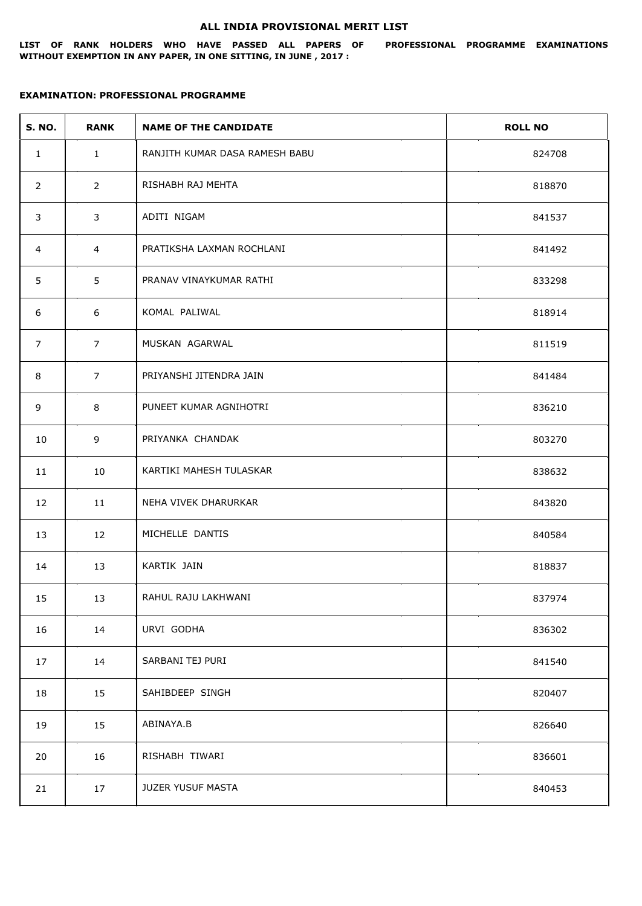## **ALL INDIA PROVISIONAL MERIT LIST**

**LIST OF RANK HOLDERS WHO HAVE PASSED ALL PAPERS OF PROFESSIONAL PROGRAMME EXAMINATIONS WITHOUT EXEMPTION IN ANY PAPER, IN ONE SITTING, IN JUNE , 2017 :**

## **EXAMINATION: PROFESSIONAL PROGRAMME**

| <b>S. NO.</b>  | <b>RANK</b>    | <b>NAME OF THE CANDIDATE</b>   | <b>ROLL NO</b> |
|----------------|----------------|--------------------------------|----------------|
| $\mathbf{1}$   | $\mathbf{1}$   | RANJITH KUMAR DASA RAMESH BABU | 824708         |
| 2              | $\overline{2}$ | RISHABH RAJ MEHTA              | 818870         |
| 3              | 3              | ADITI NIGAM                    | 841537         |
| $\overline{4}$ | $\overline{4}$ | PRATIKSHA LAXMAN ROCHLANI      | 841492         |
| 5              | 5              | PRANAV VINAYKUMAR RATHI        | 833298         |
| 6              | 6              | KOMAL PALIWAL                  | 818914         |
| $\overline{7}$ | $\overline{7}$ | MUSKAN AGARWAL                 | 811519         |
| 8              | $\overline{7}$ | PRIYANSHI JITENDRA JAIN        | 841484         |
| 9              | 8              | PUNEET KUMAR AGNIHOTRI         | 836210         |
| 10             | 9              | PRIYANKA CHANDAK               | 803270         |
| 11             | 10             | KARTIKI MAHESH TULASKAR        | 838632         |
| 12             | 11             | NEHA VIVEK DHARURKAR           | 843820         |
| 13             | 12             | MICHELLE DANTIS                | 840584         |
| 14             | 13             | KARTIK JAIN                    | 818837         |
| 15             | 13             | RAHUL RAJU LAKHWANI            | 837974         |
| 16             | 14             | URVI GODHA                     | 836302         |
| 17             | 14             | SARBANI TEJ PURI               | 841540         |
| 18             | 15             | SAHIBDEEP SINGH                | 820407         |
| 19             | 15             | ABINAYA.B                      | 826640         |
| 20             | 16             | RISHABH TIWARI                 | 836601         |
| 21             | 17             | JUZER YUSUF MASTA              | 840453         |